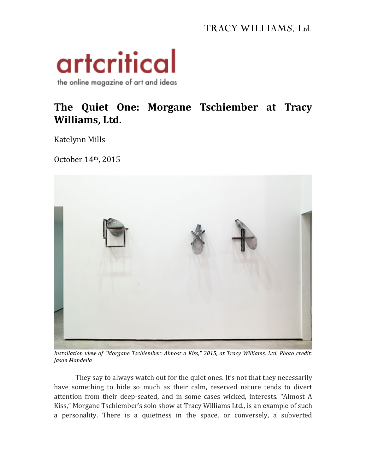## TRACY WILLIAMS, Ltd.



## The Quiet One: Morgane Tschiember at Tracy **Williams, Ltd.**

Katelynn Mills 

October 14th, 2015



*Installation view of "Morgane Tschiember: Almost a Kiss," 2015, at Tracy Williams, Ltd. Photo credit: Jason Mandella*

They say to always watch out for the quiet ones. It's not that they necessarily have something to hide so much as their calm, reserved nature tends to divert attention from their deep-seated, and in some cases wicked, interests. "Almost A Kiss," Morgane Tschiember's solo show at Tracy Williams Ltd., is an example of such a personality. There is a quietness in the space, or conversely, a subverted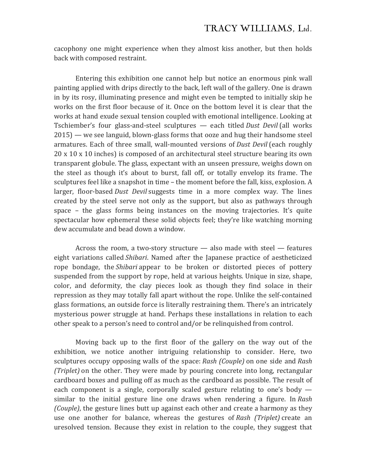cacophony one might experience when they almost kiss another, but then holds back with composed restraint.

Entering this exhibition one cannot help but notice an enormous pink wall painting applied with drips directly to the back, left wall of the gallery. One is drawn in by its rosy, illuminating presence and might even be tempted to initially skip he works on the first floor because of it. Once on the bottom level it is clear that the works at hand exude sexual tension coupled with emotional intelligence. Looking at Tschiember's four glass-and-steel sculptures — each titled *Dust Devil* (all works  $2015$  — we see languid, blown-glass forms that ooze and hug their handsome steel armatures. Each of three small, wall-mounted versions of *Dust Devil* (each roughly  $20 \times 10 \times 10$  inches) is composed of an architectural steel structure bearing its own transparent globule. The glass, expectant with an unseen pressure, weighs down on the steel as though it's about to burst, fall off, or totally envelop its frame. The sculptures feel like a snapshot in time – the moment before the fall, kiss, explosion. A larger, floor-based *Dust Devil* suggests time in a more complex way. The lines created by the steel serve not only as the support, but also as pathways through space  $-$  the glass forms being instances on the moving trajectories. It's quite spectacular how ephemeral these solid objects feel; they're like watching morning dew accumulate and bead down a window.

Across the room, a two-story structure  $-$  also made with steel  $-$  features eight variations called *Shibari*. Named after the Japanese practice of aestheticized rope bondage, the *Shibari* appear to be broken or distorted pieces of pottery suspended from the support by rope, held at various heights. Unique in size, shape, color, and deformity, the clay pieces look as though they find solace in their repression as they may totally fall apart without the rope. Unlike the self-contained glass formations, an outside force is literally restraining them. There's an intricately mysterious power struggle at hand. Perhaps these installations in relation to each other speak to a person's need to control and/or be relinquished from control.

Moving back up to the first floor of the gallery on the way out of the exhibition, we notice another intriguing relationship to consider. Here, two sculptures occupy opposing walls of the space: *Rash (Couple)* on one side and *Rash (Triplet)* on the other. They were made by pouring concrete into long, rectangular cardboard boxes and pulling off as much as the cardboard as possible. The result of each component is a single, corporally scaled gesture relating to one's body  $$ similar to the initial gesture line one draws when rendering a figure. In *Rash (Couple)*, the gesture lines butt up against each other and create a harmony as they use one another for balance, whereas the gestures of Rash *(Triplet)* create an uresolved tension. Because they exist in relation to the couple, they suggest that